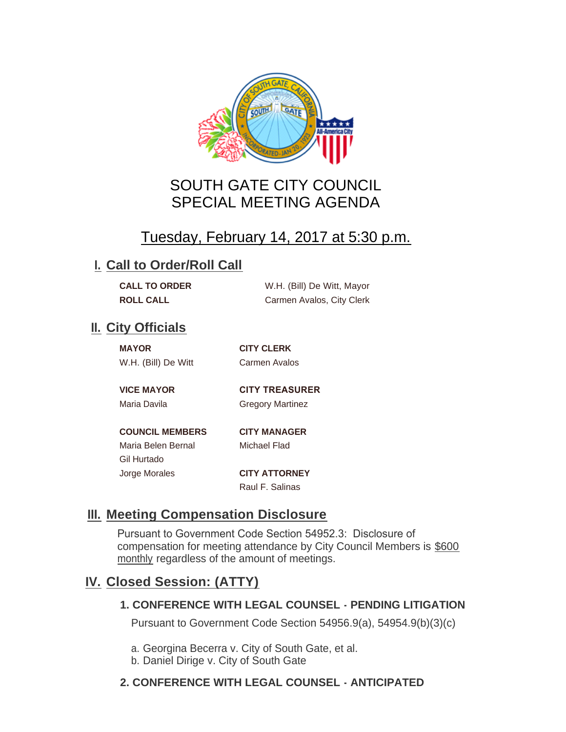

## SOUTH GATE CITY COUNCIL SPECIAL MEETING AGENDA

# Tuesday, February 14, 2017 at 5:30 p.m.

### **I. Call to Order/Roll Call**

| <b>CALL TO ORDER</b> | W.H. (Bill) De Witt, Mayor |
|----------------------|----------------------------|
| <b>ROLL CALL</b>     | Carmen Avalos, City Clerk  |

### **II.** City Officials

| <b>MAYOR</b> |                     |  |
|--------------|---------------------|--|
|              | W.H. (Bill) De Witt |  |

**MAYOR CITY CLERK** Carmen Avalos

**VICE MAYOR CITY TREASURER** 

Maria Davila **Gregory Martinez** 

**COUNCIL MEMBERS CITY MANAGER** Maria Belen Bernal Michael Flad Gil Hurtado Jorge Morales **CITY ATTORNEY**

Raul F. Salinas

## **Meeting Compensation Disclosure III.**

Pursuant to Government Code Section 54952.3: Disclosure of compensation for meeting attendance by City Council Members is \$600 monthly regardless of the amount of meetings.

## **Closed Session: (ATTY) IV.**

#### **1. CONFERENCE WITH LEGAL COUNSEL - PENDING LITIGATION**

Pursuant to Government Code Section 54956.9(a), 54954.9(b)(3)(c)

- a. Georgina Becerra v. City of South Gate, et al.
- b. Daniel Dirige v. City of South Gate

#### **2. CONFERENCE WITH LEGAL COUNSEL - ANTICIPATED**